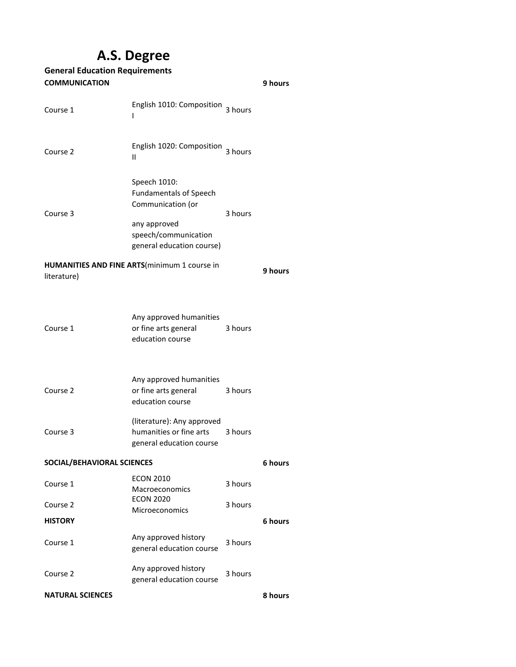## **A.S. Degree**

| <b>General Education Requirements</b>                               |                                                                                                                                         |         |         |  |
|---------------------------------------------------------------------|-----------------------------------------------------------------------------------------------------------------------------------------|---------|---------|--|
| <b>COMMUNICATION</b><br>9 hours                                     |                                                                                                                                         |         |         |  |
| Course 1                                                            | English 1010: Composition 3 hours<br>L                                                                                                  |         |         |  |
| Course 2                                                            | English 1020: Composition<br>Ш                                                                                                          | 3 hours |         |  |
| Course 3                                                            | Speech 1010:<br><b>Fundamentals of Speech</b><br>Communication (or<br>any approved<br>speech/communication<br>general education course) | 3 hours |         |  |
| <b>HUMANITIES AND FINE ARTS</b> (minimum 1 course in<br>literature) |                                                                                                                                         |         | 9 hours |  |
| Course 1                                                            | Any approved humanities<br>or fine arts general<br>education course                                                                     | 3 hours |         |  |
| Course 2                                                            | Any approved humanities<br>or fine arts general<br>education course                                                                     | 3 hours |         |  |
| Course 3                                                            | (literature): Any approved<br>humanities or fine arts<br>general education course                                                       | 3 hours |         |  |
| SOCIAL/BEHAVIORAL SCIENCES<br>6 hours                               |                                                                                                                                         |         |         |  |
| Course 1                                                            | <b>ECON 2010</b><br>Macroeconomics                                                                                                      | 3 hours |         |  |
| Course 2                                                            | <b>ECON 2020</b><br>Microeconomics                                                                                                      | 3 hours |         |  |
| <b>HISTORY</b>                                                      |                                                                                                                                         |         | 6 hours |  |
| Course 1                                                            | Any approved history<br>general education course                                                                                        | 3 hours |         |  |
| Course 2                                                            | Any approved history<br>general education course                                                                                        | 3 hours |         |  |
| <b>NATURAL SCIENCES</b>                                             |                                                                                                                                         |         | 8 hours |  |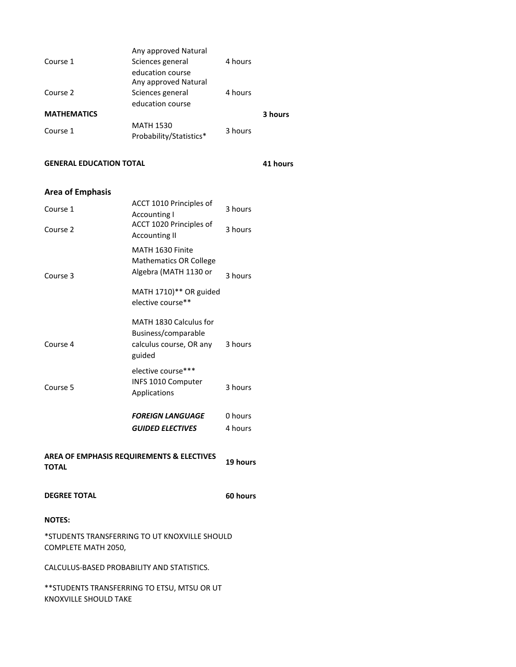| Course 1                                                             | Any approved Natural<br>Sciences general<br>education course                       | 4 hours            |          |
|----------------------------------------------------------------------|------------------------------------------------------------------------------------|--------------------|----------|
| Course 2                                                             | Any approved Natural<br>Sciences general<br>education course                       | 4 hours            |          |
| <b>MATHEMATICS</b>                                                   |                                                                                    |                    | 3 hours  |
| Course 1                                                             | <b>MATH 1530</b><br>Probability/Statistics*                                        | 3 hours            |          |
| <b>GENERAL EDUCATION TOTAL</b>                                       |                                                                                    |                    | 41 hours |
| <b>Area of Emphasis</b>                                              |                                                                                    |                    |          |
| Course 1                                                             | ACCT 1010 Principles of<br><b>Accounting I</b>                                     | 3 hours            |          |
| Course 2                                                             | ACCT 1020 Principles of<br><b>Accounting II</b>                                    | 3 hours            |          |
| Course 3                                                             | MATH 1630 Finite<br><b>Mathematics OR College</b><br>Algebra (MATH 1130 or         | 3 hours            |          |
|                                                                      | MATH 1710)** OR guided<br>elective course**                                        |                    |          |
| Course 4                                                             | MATH 1830 Calculus for<br>Business/comparable<br>calculus course, OR any<br>guided | 3 hours            |          |
| Course 5                                                             | elective course***<br>INFS 1010 Computer<br>Applications                           | 3 hours            |          |
|                                                                      | <b>FOREIGN LANGUAGE</b><br><b>GUIDED ELECTIVES</b>                                 | 0 hours<br>4 hours |          |
| <b>AREA OF EMPHASIS REQUIREMENTS &amp; ELECTIVES</b><br><b>TOTAL</b> |                                                                                    | 19 hours           |          |
| <b>DEGREE TOTAL</b>                                                  |                                                                                    | 60 hours           |          |
| <b>NOTES:</b>                                                        |                                                                                    |                    |          |
| COMPLETE MATH 2050,                                                  | *STUDENTS TRANSFERRING TO UT KNOXVILLE SHOULD                                      |                    |          |
| CALCULUS-BASED PROBABILITY AND STATISTICS.                           |                                                                                    |                    |          |
| <b>KNOXVILLE SHOULD TAKE</b>                                         | ** STUDENTS TRANSFERRING TO ETSU, MTSU OR UT                                       |                    |          |